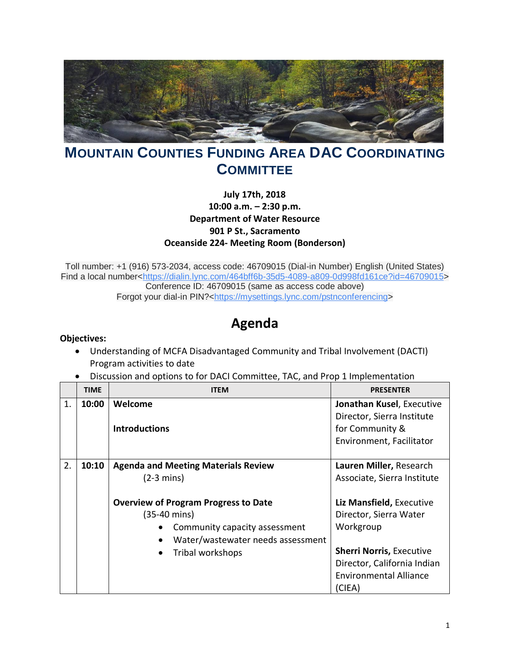

## **MOUNTAIN COUNTIES FUNDING AREA DAC COORDINATING COMMITTEE**

## **July 17th, 2018 10:00 a.m. – 2:30 p.m. Department of Water Resource 901 P St., Sacramento Oceanside 224- Meeting Room (Bonderson)**

Toll number: +1 (916) 573-2034, access code: 46709015 (Dial-in Number) English (United States) Find a local number[<https://dialin.lync.com/464bff6b-35d5-4089-a809-0d998fd161ce?id=46709015>](https://www.google.com/url?q=https%3A%2F%2Fdialin.lync.com%2F464bff6b-35d5-4089-a809-0d998fd161ce%3Fid%3D46709015&sa=D&usd=2&usg=AFQjCNHZ-JOoBH2fH1KdXIrReATvqB38fw) Conference ID: 46709015 (same as access code above) Forgot your dial-in PIN?[<https://mysettings.lync.com/pstnconferencing>](https://www.google.com/url?q=https%3A%2F%2Fmysettings.lync.com%2Fpstnconferencing&sa=D&usd=2&usg=AFQjCNH5-bqoliNq9ZsIXVbCDDu9VCvflA)

## **Agenda**

## **Objectives:**

- Understanding of MCFA Disadvantaged Community and Tribal Involvement (DACTI) Program activities to date
- Discussion and options to for DACI Committee, TAC, and Prop 1 Implementation

|    | <b>TIME</b> | <b>ITEM</b>                                 | <b>PRESENTER</b>                |
|----|-------------|---------------------------------------------|---------------------------------|
| 1. | 10:00       | Welcome                                     | Jonathan Kusel, Executive       |
|    |             |                                             | Director, Sierra Institute      |
|    |             | <b>Introductions</b>                        | for Community &                 |
|    |             |                                             | Environment, Facilitator        |
|    |             |                                             |                                 |
| 2. | 10:10       | <b>Agenda and Meeting Materials Review</b>  | Lauren Miller, Research         |
|    |             | $(2-3 \text{ mins})$                        | Associate, Sierra Institute     |
|    |             |                                             |                                 |
|    |             | <b>Overview of Program Progress to Date</b> | Liz Mansfield, Executive        |
|    |             | (35-40 mins)                                | Director, Sierra Water          |
|    |             | Community capacity assessment               | Workgroup                       |
|    |             | Water/wastewater needs assessment           |                                 |
|    |             | Tribal workshops<br>$\bullet$               | <b>Sherri Norris, Executive</b> |
|    |             |                                             | Director, California Indian     |
|    |             |                                             | <b>Environmental Alliance</b>   |
|    |             |                                             | (CIEA)                          |